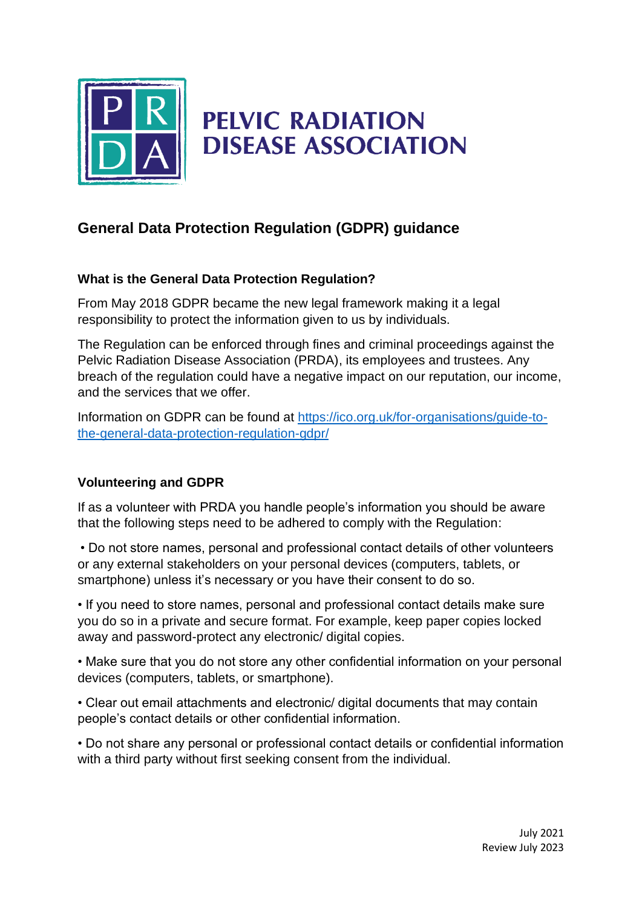

## **PELVIC RADIATION DISEASE ASSOCIATION**

## **General Data Protection Regulation (GDPR) guidance**

## **What is the General Data Protection Regulation?**

From May 2018 GDPR became the new legal framework making it a legal responsibility to protect the information given to us by individuals.

The Regulation can be enforced through fines and criminal proceedings against the Pelvic Radiation Disease Association (PRDA), its employees and trustees. Any breach of the regulation could have a negative impact on our reputation, our income, and the services that we offer.

Information on GDPR can be found at [https://ico.org.uk/for-organisations/guide-to](https://ico.org.uk/for-organisations/guide-to-the-general-data-protection-regulation-gdpr/)[the-general-data-protection-regulation-gdpr/](https://ico.org.uk/for-organisations/guide-to-the-general-data-protection-regulation-gdpr/)

## **Volunteering and GDPR**

If as a volunteer with PRDA you handle people's information you should be aware that the following steps need to be adhered to comply with the Regulation:

• Do not store names, personal and professional contact details of other volunteers or any external stakeholders on your personal devices (computers, tablets, or smartphone) unless it's necessary or you have their consent to do so.

• If you need to store names, personal and professional contact details make sure you do so in a private and secure format. For example, keep paper copies locked away and password-protect any electronic/ digital copies.

• Make sure that you do not store any other confidential information on your personal devices (computers, tablets, or smartphone).

• Clear out email attachments and electronic/ digital documents that may contain people's contact details or other confidential information.

• Do not share any personal or professional contact details or confidential information with a third party without first seeking consent from the individual.